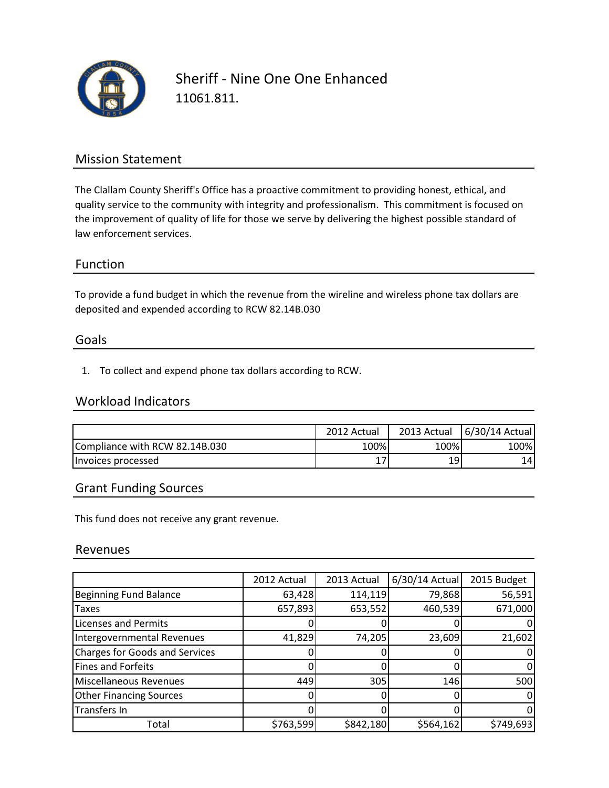

Sheriff - Nine One One Enhanced 11061.811.

## Mission Statement

The Clallam County Sheriff's Office has a proactive commitment to providing honest, ethical, and quality service to the community with integrity and professionalism. This commitment is focused on the improvement of quality of life for those we serve by delivering the highest possible standard of law enforcement services.

### Function

To provide a fund budget in which the revenue from the wireline and wireless phone tax dollars are deposited and expended according to RCW 82.14B.030

#### Goals

1. To collect and expend phone tax dollars according to RCW.

#### Workload Indicators

|                                | 2012 Actual | 2013 Actual | 6/30/14 Actual |
|--------------------------------|-------------|-------------|----------------|
| Compliance with RCW 82.14B.030 | 100%        | 100%        | 100%           |
| Invoices processed             |             | 19          | 141            |

#### Grant Funding Sources

This fund does not receive any grant revenue.

#### Revenues

|                                       | 2012 Actual | 2013 Actual | $6/30/14$ Actual | 2015 Budget |
|---------------------------------------|-------------|-------------|------------------|-------------|
| <b>Beginning Fund Balance</b>         | 63,428      | 114,119     | 79,868           | 56,591      |
| <b>Taxes</b>                          | 657,893     | 653,552     | 460,539          | 671,000     |
| <b>Licenses and Permits</b>           |             |             |                  |             |
| Intergovernmental Revenues            | 41,829      | 74,205      | 23,609           | 21,602      |
| <b>Charges for Goods and Services</b> |             |             |                  |             |
| <b>Fines and Forfeits</b>             |             |             |                  |             |
| Miscellaneous Revenues                | 449         | 305         | 146              | 500         |
| <b>Other Financing Sources</b>        |             |             |                  |             |
| Transfers In                          |             |             |                  |             |
| Total                                 | \$763,599   | \$842,180   | \$564,162        | \$749,693   |